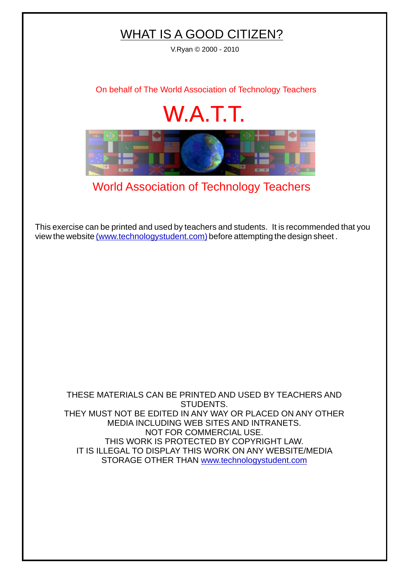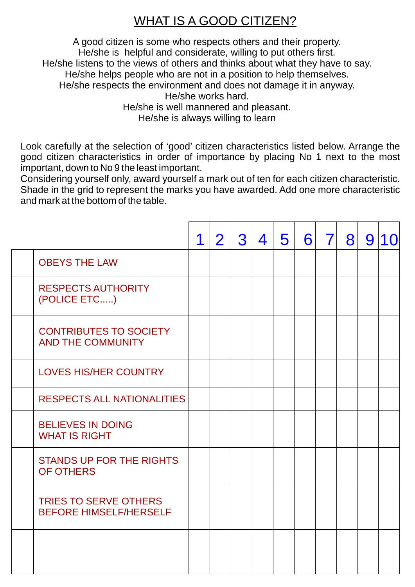## WHAT IS A GOOD CITIZEN?

A good citizen is some who respects others and their property. He/she is helpful and considerate, willing to put others first. He/she listens to the views of others and thinks about what they have to say. He/she helps people who are not in a position to help themselves. He/she respects the environment and does not damage it in anyway. He/she works hard. He/she is well mannered and pleasant. He/she is always willing to learn

Look carefully at the selection of 'good' citizen characteristics listed below. Arrange the good citizen characteristics in order of importance by placing No 1 next to the most important, down to No 9 the least important.

Considering yourself only, award yourself a mark out of ten for each citizen characteristic. Shade in the grid to represent the marks you have awarded. Add one more characteristic and mark at the bottom of the table.

|                                                               | 1 | $\overline{2}$ | 3 | 4 | 5 | 6 | $\overline{7}$ | 8 | 9 | 10 |
|---------------------------------------------------------------|---|----------------|---|---|---|---|----------------|---|---|----|
| <b>OBEYS THE LAW</b>                                          |   |                |   |   |   |   |                |   |   |    |
| <b>RESPECTS AUTHORITY</b><br>(POLICE ETC)                     |   |                |   |   |   |   |                |   |   |    |
| <b>CONTRIBUTES TO SOCIETY</b><br><b>AND THE COMMUNITY</b>     |   |                |   |   |   |   |                |   |   |    |
| <b>LOVES HIS/HER COUNTRY</b>                                  |   |                |   |   |   |   |                |   |   |    |
| <b>RESPECTS ALL NATIONALITIES</b>                             |   |                |   |   |   |   |                |   |   |    |
| <b>BELIEVES IN DOING</b><br><b>WHAT IS RIGHT</b>              |   |                |   |   |   |   |                |   |   |    |
| <b>STANDS UP FOR THE RIGHTS</b><br><b>OF OTHERS</b>           |   |                |   |   |   |   |                |   |   |    |
| <b>TRIES TO SERVE OTHERS</b><br><b>BEFORE HIMSELF/HERSELF</b> |   |                |   |   |   |   |                |   |   |    |
|                                                               |   |                |   |   |   |   |                |   |   |    |